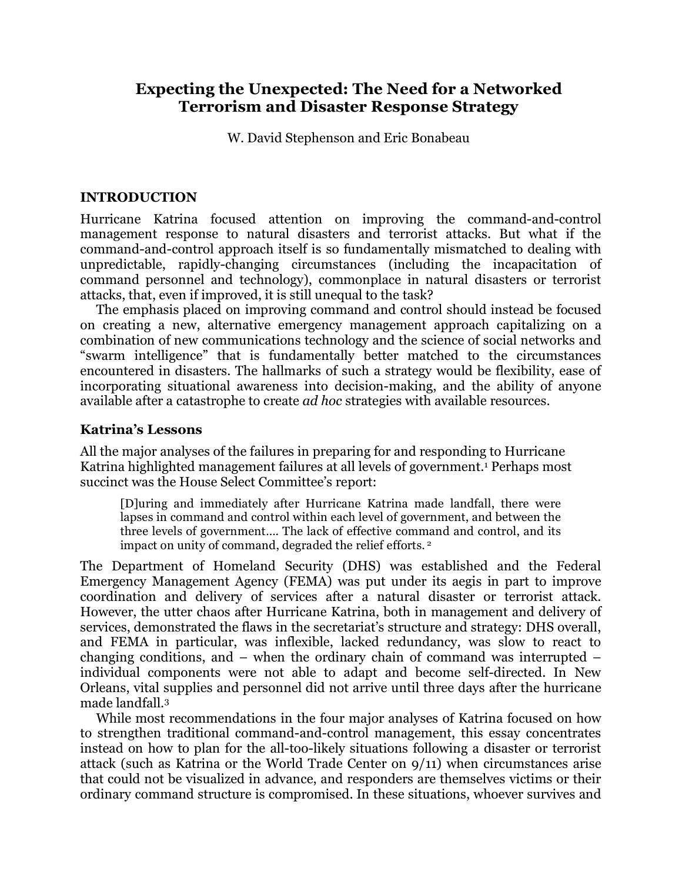# **Expecting the Unexpected: The Need for a Networked Terrorism and Disaster Response Strategy**

W. David Stephenson and Eric Bonabeau

## **INTRODUCTION**

Hurricane Katrina focused attention on improving the command-and-control management response to natural disasters and terrorist attacks. But what if the command-and-control approach itself is so fundamentally mismatched to dealing with unpredictable, rapidly-changing circumstances (including the incapacitation of command personnel and technology), commonplace in natural disasters or terrorist attacks, that, even if improved, it is still unequal to the task?

The emphasis placed on improving command and control should instead be focused on creating a new, alternative emergency management approach capitalizing on a combination of new communications technology and the science of social networks and "swarm intelligence" that is fundamentally better matched to the circumstances encountered in disasters. The hallmarks of such a strategy would be flexibility, ease of incorporating situational awareness into decision-making, and the ability of anyone available after a catastrophe to create *ad hoc* strategies with available resources.

## **Katrina's Lessons**

All the major analyses of the failures in preparing for and responding to Hurricane Katrina highlighted management failures at all levels of government.1 Perhaps most succinct was the House Select Committee's report:

[D]uring and immediately after Hurricane Katrina made landfall, there were lapses in command and control within each level of government, and between the three levels of government…. The lack of effective command and control, and its impact on unity of command, degraded the relief efforts. <sup>2</sup>

The Department of Homeland Security (DHS) was established and the Federal Emergency Management Agency (FEMA) was put under its aegis in part to improve coordination and delivery of services after a natural disaster or terrorist attack. However, the utter chaos after Hurricane Katrina, both in management and delivery of services, demonstrated the flaws in the secretariat's structure and strategy: DHS overall, and FEMA in particular, was inflexible, lacked redundancy, was slow to react to changing conditions, and – when the ordinary chain of command was interrupted – individual components were not able to adapt and become self-directed. In New Orleans, vital supplies and personnel did not arrive until three days after the hurricane made landfall.3

While most recommendations in the four major analyses of Katrina focused on how to strengthen traditional command-and-control management, this essay concentrates instead on how to plan for the all-too-likely situations following a disaster or terrorist attack (such as Katrina or the World Trade Center on 9/11) when circumstances arise that could not be visualized in advance, and responders are themselves victims or their ordinary command structure is compromised. In these situations, whoever survives and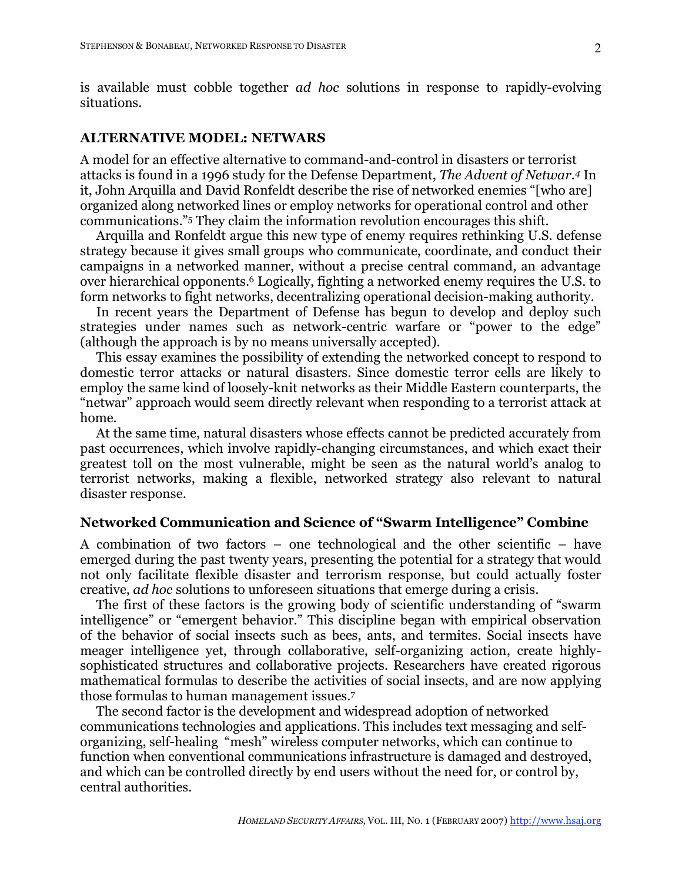is available must cobble together *ad hoc* solutions in response to rapidly-evolving situations.

#### **ALTERNATIVE MODEL: NETWARS**

A model for an effective alternative to command-and-control in disasters or terrorist attacks is found in a 1996 study for the Defense Department, *The Advent of Netwar.4* In it, John Arquilla and David Ronfeldt describe the rise of networked enemies "[who are] organized along networked lines or employ networks for operational control and other communications."5 They claim the information revolution encourages this shift.

Arquilla and Ronfeldt argue this new type of enemy requires rethinking U.S. defense strategy because it gives small groups who communicate, coordinate, and conduct their campaigns in a networked manner, without a precise central command, an advantage over hierarchical opponents. <sup>6</sup> Logically, fighting a networked enemy requires the U.S. to form networks to fight networks, decentralizing operational decision-making authority.

In recent years the Department of Defense has begun to develop and deploy such strategies under names such as network-centric warfare or "power to the edge" (although the approach is by no means universally accepted).

This essay examines the possibility of extending the networked concept to respond to domestic terror attacks or natural disasters. Since domestic terror cells are likely to employ the same kind of loosely-knit networks as their Middle Eastern counterparts, the "netwar" approach would seem directly relevant when responding to a terrorist attack at home.

At the same time, natural disasters whose effects cannot be predicted accurately from past occurrences, which involve rapidly-changing circumstances, and which exact their greatest toll on the most vulnerable, might be seen as the natural world's analog to terrorist networks, making a flexible, networked strategy also relevant to natural disaster response.

#### **Networked Communication and Science of "Swarm Intelligence" Combine**

A combination of two factors – one technological and the other scientific – have emerged during the past twenty years, presenting the potential for a strategy that would not only facilitate flexible disaster and terrorism response, but could actually foster creative, *ad hoc* solutions to unforeseen situations that emerge during a crisis.

The first of these factors is the growing body of scientific understanding of "swarm intelligence" or "emergent behavior." This discipline began with empirical observation of the behavior of social insects such as bees, ants, and termites. Social insects have meager intelligence yet, through collaborative, self-organizing action, create highlysophisticated structures and collaborative projects. Researchers have created rigorous mathematical formulas to describe the activities of social insects, and are now applying those formulas to human management issues. 7

The second factor is the development and widespread adoption of networked communications technologies and applications. This includes text messaging and selforganizing, self-healing "mesh" wireless computer networks, which can continue to function when conventional communications infrastructure is damaged and destroyed, and which can be controlled directly by end users without the need for, or control by, central authorities.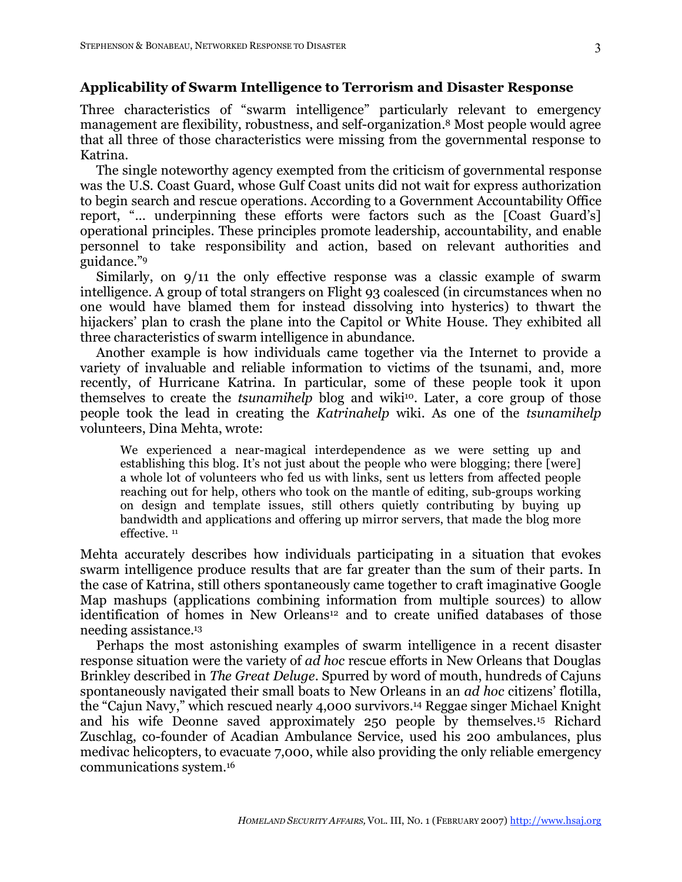#### **Applicability of Swarm Intelligence to Terrorism and Disaster Response**

Three characteristics of "swarm intelligence" particularly relevant to emergency management are flexibility, robustness, and self-organization. <sup>8</sup> Most people would agree that all three of those characteristics were missing from the governmental response to Katrina.

The single noteworthy agency exempted from the criticism of governmental response was the U.S. Coast Guard, whose Gulf Coast units did not wait for express authorization to begin search and rescue operations. According to a Government Accountability Office report, "… underpinning these efforts were factors such as the [Coast Guard's] operational principles. These principles promote leadership, accountability, and enable personnel to take responsibility and action, based on relevant authorities and guidance."9

Similarly, on 9/11 the only effective response was a classic example of swarm intelligence. A group of total strangers on Flight 93 coalesced (in circumstances when no one would have blamed them for instead dissolving into hysterics) to thwart the hijackers' plan to crash the plane into the Capitol or White House. They exhibited all three characteristics of swarm intelligence in abundance.

Another example is how individuals came together via the Internet to provide a variety of invaluable and reliable information to victims of the tsunami, and, more recently, of Hurricane Katrina. In particular, some of these people took it upon themselves to create the *tsunamihelp* blog and wiki<sup>10</sup>. Later, a core group of those people took the lead in creating the *Katrinahelp* wiki. As one of the *tsunamihelp* volunteers, Dina Mehta, wrote:

We experienced a near-magical interdependence as we were setting up and establishing this blog. It's not just about the people who were blogging; there [were] a whole lot of volunteers who fed us with links, sent us letters from affected people reaching out for help, others who took on the mantle of editing, sub-groups working on design and template issues, still others quietly contributing by buying up bandwidth and applications and offering up mirror servers, that made the blog more effective. <sup>11</sup>

Mehta accurately describes how individuals participating in a situation that evokes swarm intelligence produce results that are far greater than the sum of their parts. In the case of Katrina, still others spontaneously came together to craft imaginative Google Map mashups (applications combining information from multiple sources) to allow identification of homes in New Orleans<sup>12</sup> and to create unified databases of those needing assistance. 13

Perhaps the most astonishing examples of swarm intelligence in a recent disaster response situation were the variety of *ad hoc* rescue efforts in New Orleans that Douglas Brinkley described in *The Great Deluge*. Spurred by word of mouth, hundreds of Cajuns spontaneously navigated their small boats to New Orleans in an *ad hoc* citizens' flotilla, the "Cajun Navy," which rescued nearly 4,000 survivors. <sup>14</sup> Reggae singer Michael Knight and his wife Deonne saved approximately 250 people by themselves.15 Richard Zuschlag, co-founder of Acadian Ambulance Service, used his 200 ambulances, plus medivac helicopters, to evacuate 7,000, while also providing the only reliable emergency communications system.16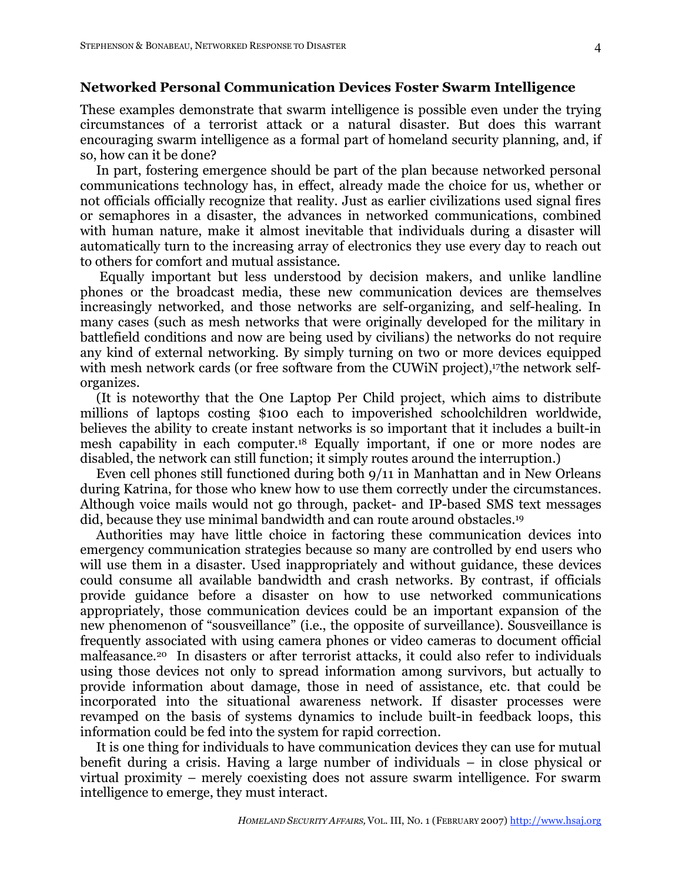#### **Networked Personal Communication Devices Foster Swarm Intelligence**

These examples demonstrate that swarm intelligence is possible even under the trying circumstances of a terrorist attack or a natural disaster. But does this warrant encouraging swarm intelligence as a formal part of homeland security planning, and, if so, how can it be done?

In part, fostering emergence should be part of the plan because networked personal communications technology has, in effect, already made the choice for us, whether or not officials officially recognize that reality. Just as earlier civilizations used signal fires or semaphores in a disaster, the advances in networked communications, combined with human nature, make it almost inevitable that individuals during a disaster will automatically turn to the increasing array of electronics they use every day to reach out to others for comfort and mutual assistance.

Equally important but less understood by decision makers, and unlike landline phones or the broadcast media, these new communication devices are themselves increasingly networked, and those networks are self-organizing, and self-healing. In many cases (such as mesh networks that were originally developed for the military in battlefield conditions and now are being used by civilians) the networks do not require any kind of external networking. By simply turning on two or more devices equipped with mesh network cards (or free software from the CUWiN project),<sup>17</sup>the network selforganizes.

(It is noteworthy that the One Laptop Per Child project, which aims to distribute millions of laptops costing \$100 each to impoverished schoolchildren worldwide, believes the ability to create instant networks is so important that it includes a built-in mesh capability in each computer.18 Equally important, if one or more nodes are disabled, the network can still function; it simply routes around the interruption.)

Even cell phones still functioned during both 9/11 in Manhattan and in New Orleans during Katrina, for those who knew how to use them correctly under the circumstances. Although voice mails would not go through, packet- and IP-based SMS text messages did, because they use minimal bandwidth and can route around obstacles.<sup>19</sup>

Authorities may have little choice in factoring these communication devices into emergency communication strategies because so many are controlled by end users who will use them in a disaster. Used inappropriately and without guidance, these devices could consume all available bandwidth and crash networks. By contrast, if officials provide guidance before a disaster on how to use networked communications appropriately, those communication devices could be an important expansion of the new phenomenon of "sousveillance" (i.e., the opposite of surveillance). Sousveillance is frequently associated with using camera phones or video cameras to document official malfeasance.20 In disasters or after terrorist attacks, it could also refer to individuals using those devices not only to spread information among survivors, but actually to provide information about damage, those in need of assistance, etc. that could be incorporated into the situational awareness network. If disaster processes were revamped on the basis of systems dynamics to include built-in feedback loops, this information could be fed into the system for rapid correction.

It is one thing for individuals to have communication devices they can use for mutual benefit during a crisis. Having a large number of individuals – in close physical or virtual proximity – merely coexisting does not assure swarm intelligence. For swarm intelligence to emerge, they must interact.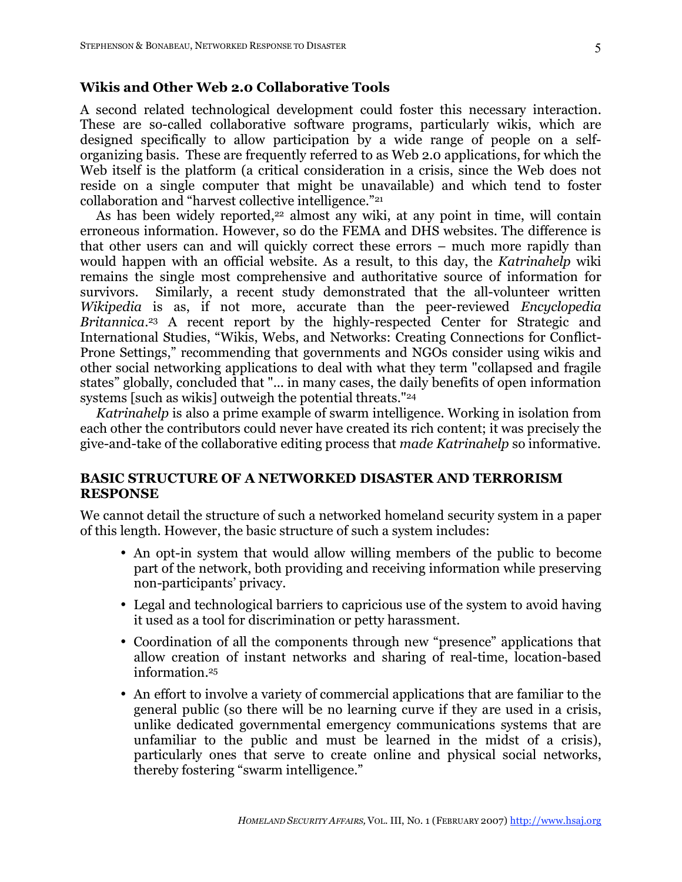## **Wikis and Other Web 2.0 Collaborative Tools**

A second related technological development could foster this necessary interaction. These are so-called collaborative software programs, particularly wikis, which are designed specifically to allow participation by a wide range of people on a selforganizing basis. These are frequently referred to as Web 2.0 applications, for which the Web itself is the platform (a critical consideration in a crisis, since the Web does not reside on a single computer that might be unavailable) and which tend to foster collaboration and "harvest collective intelligence."21

As has been widely reported,<sup>22</sup> almost any wiki, at any point in time, will contain erroneous information. However, so do the FEMA and DHS websites. The difference is that other users can and will quickly correct these errors – much more rapidly than would happen with an official website. As a result, to this day, the *Katrinahelp* wiki remains the single most comprehensive and authoritative source of information for survivors. Similarly, a recent study demonstrated that the all-volunteer written *Wikipedia* is as, if not more, accurate than the peer-reviewed *Encyclopedia Britannica*. <sup>23</sup> A recent report by the highly-respected Center for Strategic and International Studies, "Wikis, Webs, and Networks: Creating Connections for Conflict-Prone Settings," recommending that governments and NGOs consider using wikis and other social networking applications to deal with what they term "collapsed and fragile states" globally, concluded that "... in many cases, the daily benefits of open information systems [such as wikis] outweigh the potential threats."<sup>24</sup>

*Katrinahelp* is also a prime example of swarm intelligence. Working in isolation from each other the contributors could never have created its rich content; it was precisely the give-and-take of the collaborative editing process that *made Katrinahelp* so informative.

### **BASIC STRUCTURE OF A NETWORKED DISASTER AND TERRORISM RESPONSE**

We cannot detail the structure of such a networked homeland security system in a paper of this length. However, the basic structure of such a system includes:

- An opt-in system that would allow willing members of the public to become part of the network, both providing and receiving information while preserving non-participants' privacy.
- Legal and technological barriers to capricious use of the system to avoid having it used as a tool for discrimination or petty harassment.
- Coordination of all the components through new "presence" applications that allow creation of instant networks and sharing of real-time, location-based information. 25
- An effort to involve a variety of commercial applications that are familiar to the general public (so there will be no learning curve if they are used in a crisis, unlike dedicated governmental emergency communications systems that are unfamiliar to the public and must be learned in the midst of a crisis), particularly ones that serve to create online and physical social networks, thereby fostering "swarm intelligence."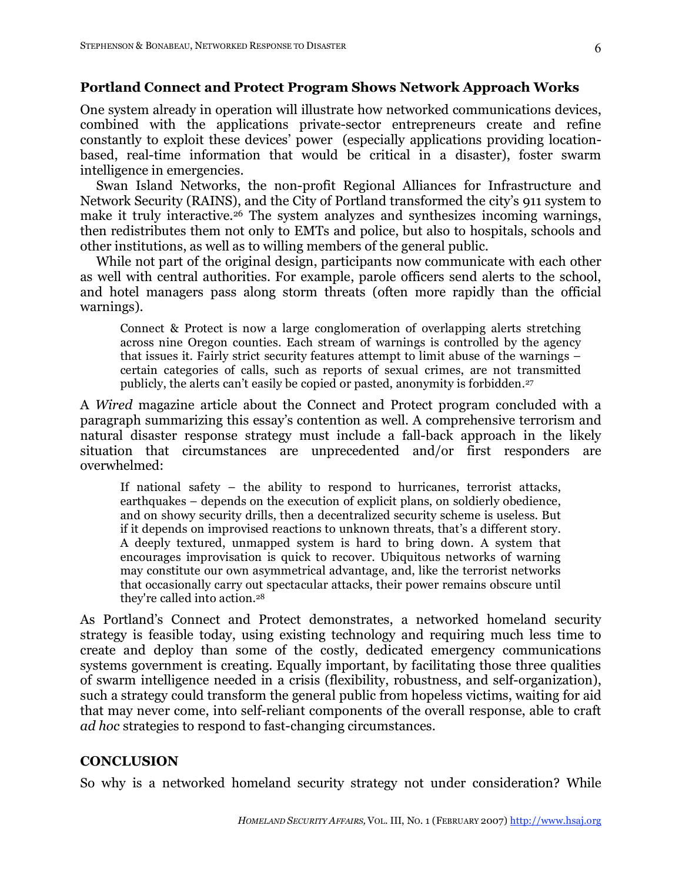### **Portland Connect and Protect Program Shows Network Approach Works**

One system already in operation will illustrate how networked communications devices, combined with the applications private-sector entrepreneurs create and refine constantly to exploit these devices' power (especially applications providing locationbased, real-time information that would be critical in a disaster), foster swarm intelligence in emergencies.

Swan Island Networks, the non-profit Regional Alliances for Infrastructure and Network Security (RAINS), and the City of Portland transformed the city's 911 system to make it truly interactive.26 The system analyzes and synthesizes incoming warnings, then redistributes them not only to EMTs and police, but also to hospitals, schools and other institutions, as well as to willing members of the general public.

While not part of the original design, participants now communicate with each other as well with central authorities. For example, parole officers send alerts to the school, and hotel managers pass along storm threats (often more rapidly than the official warnings).

Connect & Protect is now a large conglomeration of overlapping alerts stretching across nine Oregon counties. Each stream of warnings is controlled by the agency that issues it. Fairly strict security features attempt to limit abuse of the warnings – certain categories of calls, such as reports of sexual crimes, are not transmitted publicly, the alerts can't easily be copied or pasted, anonymity is forbidden. 27

A *Wired* magazine article about the Connect and Protect program concluded with a paragraph summarizing this essay's contention as well. A comprehensive terrorism and natural disaster response strategy must include a fall-back approach in the likely situation that circumstances are unprecedented and/or first responders are overwhelmed:

If national safety – the ability to respond to hurricanes, terrorist attacks, earthquakes – depends on the execution of explicit plans, on soldierly obedience, and on showy security drills, then a decentralized security scheme is useless. But if it depends on improvised reactions to unknown threats, that's a different story. A deeply textured, unmapped system is hard to bring down. A system that encourages improvisation is quick to recover. Ubiquitous networks of warning may constitute our own asymmetrical advantage, and, like the terrorist networks that occasionally carry out spectacular attacks, their power remains obscure until they're called into action.28

As Portland's Connect and Protect demonstrates, a networked homeland security strategy is feasible today, using existing technology and requiring much less time to create and deploy than some of the costly, dedicated emergency communications systems government is creating. Equally important, by facilitating those three qualities of swarm intelligence needed in a crisis (flexibility, robustness, and self-organization), such a strategy could transform the general public from hopeless victims, waiting for aid that may never come, into self-reliant components of the overall response, able to craft *ad hoc* strategies to respond to fast-changing circumstances.

#### **CONCLUSION**

So why is a networked homeland security strategy not under consideration? While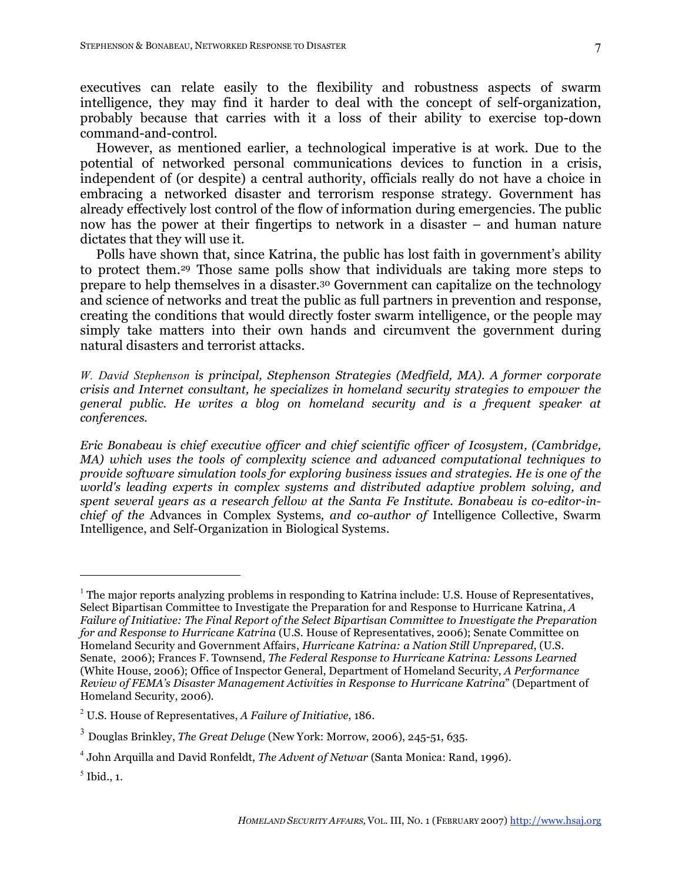executives can relate easily to the flexibility and robustness aspects of swarm intelligence, they may find it harder to deal with the concept of self-organization, probably because that carries with it a loss of their ability to exercise top-down command-and-control.

However, as mentioned earlier, a technological imperative is at work. Due to the potential of networked personal communications devices to function in a crisis, independent of (or despite) a central authority, officials really do not have a choice in embracing a networked disaster and terrorism response strategy. Government has already effectively lost control of the flow of information during emergencies. The public now has the power at their fingertips to network in a disaster – and human nature dictates that they will use it.

Polls have shown that, since Katrina, the public has lost faith in government's ability to protect them.29 Those same polls show that individuals are taking more steps to prepare to help themselves in a disaster.30 Government can capitalize on the technology and science of networks and treat the public as full partners in prevention and response, creating the conditions that would directly foster swarm intelligence, or the people may simply take matters into their own hands and circumvent the government during natural disasters and terrorist attacks.

*W. David Stephenson is principal, Stephenson Strategies (Medfield, MA). A former corporate crisis and Internet consultant, he specializes in homeland security strategies to empower the general public. He writes a blog on homeland security and is a frequent speaker at conferences.*

*Eric Bonabeau is chief executive officer and chief scientific officer of Icosystem, (Cambridge, MA) which uses the tools of complexity science and advanced computational techniques to provide software simulation tools for exploring business issues and strategies. He is one of the world's leading experts in complex systems and distributed adaptive problem solving, and spent several years as a research fellow at the Santa Fe Institute. Bonabeau is co-editor-inchief of the* Advances in Complex Systems*, and co-author of* Intelligence Collective, Swarm Intelligence, and Self-Organization in Biological Systems.

 $\overline{a}$ 

 $1$ <sup>1</sup> The major reports analyzing problems in responding to Katrina include: U.S. House of Representatives, Select Bipartisan Committee to Investigate the Preparation for and Response to Hurricane Katrina, *A Failure of Initiative: The Final Report of the Select Bipartisan Committee to Investigate the Preparation for and Response to Hurricane Katrina* (U.S. House of Representatives, 2006); Senate Committee on Homeland Security and Government Affairs, *Hurricane Katrina: a Nation Still Unprepared*, (U.S. Senate, 2006); Frances F. Townsend, *The Federal Response to Hurricane Katrina: Lessons Learned* (White House, 2006); Office of Inspector General, Department of Homeland Security, *A Performance Review of FEMA's Disaster Management Activities in Response to Hurricane Katrina*" (Department of Homeland Security, 2006).

<sup>2</sup> U.S. House of Representatives, *A Failure of Initiative*, 186.

<sup>3</sup> Douglas Brinkley, *The Great Deluge* (New York: Morrow, 2006), 245-51, 635.

<sup>4</sup> John Arquilla and David Ronfeldt, *The Advent of Netwar* (Santa Monica: Rand, 1996).

 $<sup>5</sup>$  Ibid., 1.</sup>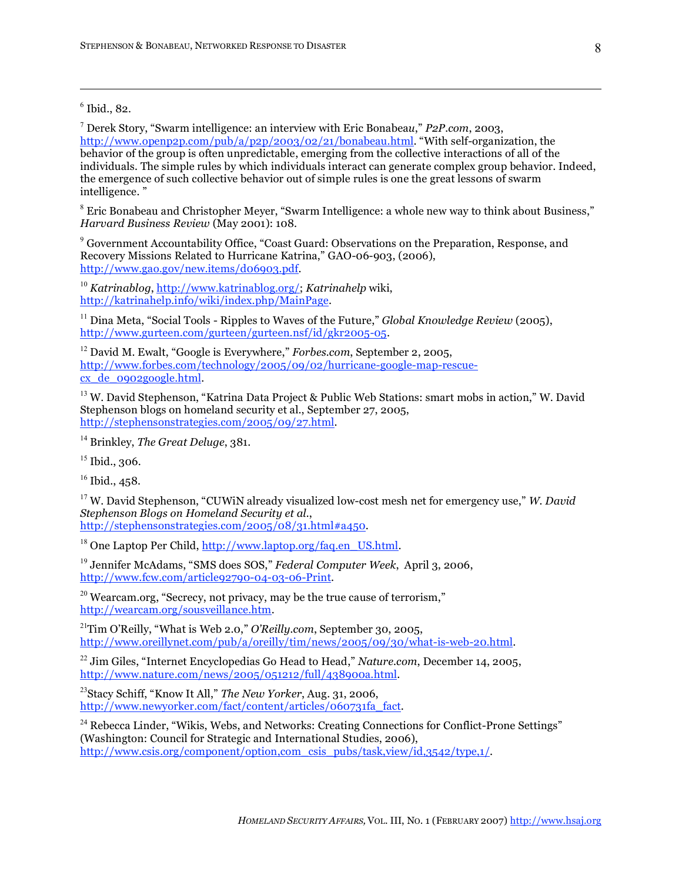$6$  Ibid., 82.

 $\overline{a}$ 

<sup>7</sup> Derek Story, "Swarm intelligence: an interview with Eric Bonabea*u*," *P2P.com*, 2003, http://www.openp2p.com/pub/a/p2p/2003/02/21/bonabeau.html. "With self-organization, the behavior of the group is often unpredictable, emerging from the collective interactions of all of the individuals. The simple rules by which individuals interact can generate complex group behavior. Indeed, the emergence of such collective behavior out of simple rules is one the great lessons of swarm intelligence. "

<sup>8</sup> Eric Bonabeau and Christopher Meyer, "Swarm Intelligence: a whole new way to think about Business," *Harvard Business Review* (May 2001): 108.

<sup>9</sup> Government Accountability Office, "Coast Guard: Observations on the Preparation, Response, and Recovery Missions Related to Hurricane Katrina," GAO-06-903, (2006), http://www.gao.gov/new.items/d06903.pdf.

<sup>10</sup> *Katrinablog*, http://www.katrinablog.org/; *Katrinahelp* wiki, http://katrinahelp.info/wiki/index.php/MainPage.

<sup>11</sup> Dina Meta, "Social Tools - Ripples to Waves of the Future," *Global Knowledge Review* (2005), http://www.gurteen.com/gurteen/gurteen.nsf/id/gkr2005-05.

<sup>12</sup> David M. Ewalt, "Google is Everywhere," *Forbes.com*, September 2, 2005, http://www.forbes.com/technology/2005/09/02/hurricane-google-map-rescuecx\_de\_0902google.html.

<sup>13</sup> W. David Stephenson, "Katrina Data Project & Public Web Stations: smart mobs in action," W. David Stephenson blogs on homeland security et al., September 27, 2005, http://stephensonstrategies.com/2005/09/27.html.

<sup>14</sup> Brinkley, *The Great Deluge*, 381.

 $15$  Ibid., 306.

 $16$  Ibid., 458.

<sup>17</sup> W. David Stephenson, "CUWiN already visualized low-cost mesh net for emergency use," *W. David Stephenson Blogs on Homeland Security et al.*, http://stephensonstrategies.com/2005/08/31.html#a450.

 $18$  One Laptop Per Child, http://www.laptop.org/faq.en\_US.html.

<sup>19</sup> Jennifer McAdams, "SMS does SOS," *Federal Computer Week*, April 3, 2006, http://www.fcw.com/article92790-04-03-06-Print.

 $20$  Wearcam.org, "Secrecy, not privacy, may be the true cause of terrorism," http://wearcam.org/sousveillance.htm.

21 Tim O'Reilly, "What is Web 2.0," *O'Reilly.com*, September 30, 2005, http://www.oreillynet.com/pub/a/oreilly/tim/news/2005/09/30/what-is-web-20.html.

<sup>22</sup> Jim Giles, "Internet Encyclopedias Go Head to Head," *Nature.com*, December 14, 2005, http://www.nature.com/news/2005/051212/full/438900a.html.

23 Stacy Schiff, "Know It All," *The New Yorker*, Aug. 31, 2006, http://www.newyorker.com/fact/content/articles/060731fa\_fact.

 $24$  Rebecca Linder, "Wikis, Webs, and Networks: Creating Connections for Conflict-Prone Settings" (Washington: Council for Strategic and International Studies, 2006), http://www.csis.org/component/option.com\_csis\_pubs/task,view/id,3542/type,1/.